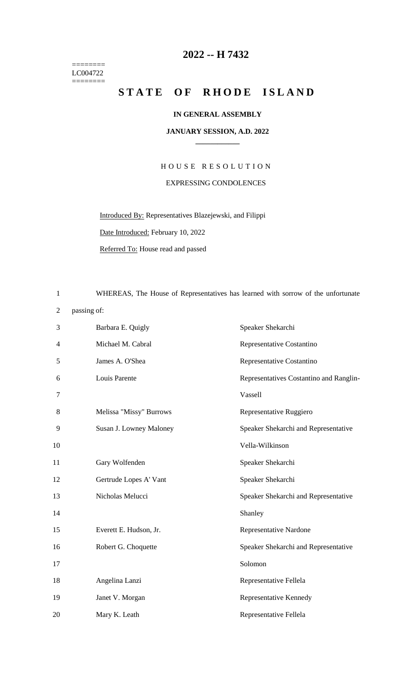======== LC004722  $=$ 

## **-- H 7432**

## STATE OF RHODE ISLAND

## **IN GENERAL ASSEMBLY**

## **JANUARY SESSION, A.D. 2022 \_\_\_\_\_\_\_\_\_\_\_\_**

H O U S E R E S O L U T I O N EXPRESSING CONDOLENCES

Introduced By: Representatives Blazejewski, and Filippi Date Introduced: February 10, 2022 Referred To: House read and passed

WHEREAS, The House of Representatives has learned with sorrow of the unfortunate

passing of:

| 3  | Barbara E. Quigly       | Speaker Shekarchi                       |
|----|-------------------------|-----------------------------------------|
| 4  | Michael M. Cabral       | Representative Costantino               |
| 5  | James A. O'Shea         | Representative Costantino               |
| 6  | Louis Parente           | Representatives Costantino and Ranglin- |
| 7  |                         | Vassell                                 |
| 8  | Melissa "Missy" Burrows | Representative Ruggiero                 |
| 9  | Susan J. Lowney Maloney | Speaker Shekarchi and Representative    |
| 10 |                         | Vella-Wilkinson                         |
| 11 | Gary Wolfenden          | Speaker Shekarchi                       |
| 12 | Gertrude Lopes A' Vant  | Speaker Shekarchi                       |
| 13 | Nicholas Melucci        | Speaker Shekarchi and Representative    |
| 14 |                         | Shanley                                 |
| 15 | Everett E. Hudson, Jr.  | <b>Representative Nardone</b>           |
| 16 | Robert G. Choquette     | Speaker Shekarchi and Representative    |
| 17 |                         | Solomon                                 |
| 18 | Angelina Lanzi          | Representative Fellela                  |
| 19 | Janet V. Morgan         | Representative Kennedy                  |
| 20 | Mary K. Leath           | Representative Fellela                  |